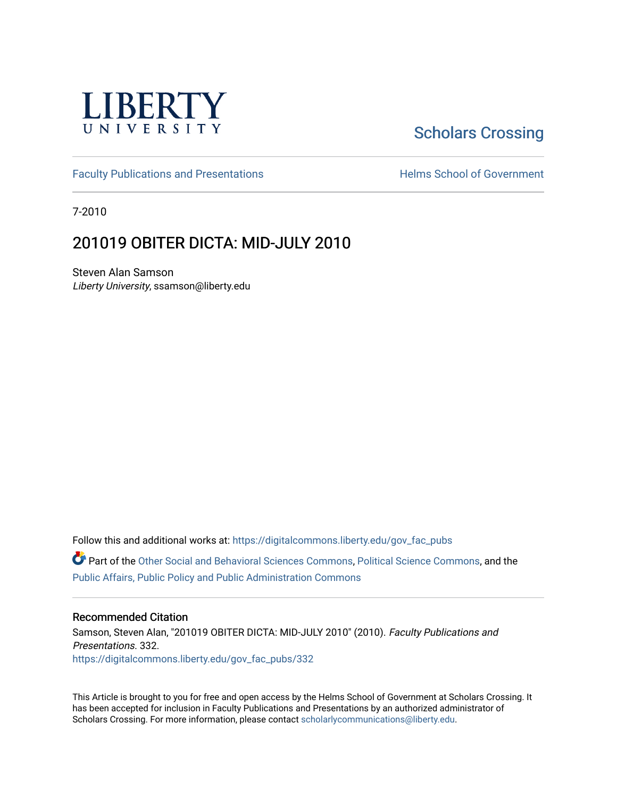

# [Scholars Crossing](https://digitalcommons.liberty.edu/)

[Faculty Publications and Presentations](https://digitalcommons.liberty.edu/gov_fac_pubs) **Exercise School of Government** 

7-2010

## 201019 OBITER DICTA: MID-JULY 2010

Steven Alan Samson Liberty University, ssamson@liberty.edu

Follow this and additional works at: [https://digitalcommons.liberty.edu/gov\\_fac\\_pubs](https://digitalcommons.liberty.edu/gov_fac_pubs?utm_source=digitalcommons.liberty.edu%2Fgov_fac_pubs%2F332&utm_medium=PDF&utm_campaign=PDFCoverPages)

Part of the [Other Social and Behavioral Sciences Commons](http://network.bepress.com/hgg/discipline/437?utm_source=digitalcommons.liberty.edu%2Fgov_fac_pubs%2F332&utm_medium=PDF&utm_campaign=PDFCoverPages), [Political Science Commons](http://network.bepress.com/hgg/discipline/386?utm_source=digitalcommons.liberty.edu%2Fgov_fac_pubs%2F332&utm_medium=PDF&utm_campaign=PDFCoverPages), and the [Public Affairs, Public Policy and Public Administration Commons](http://network.bepress.com/hgg/discipline/393?utm_source=digitalcommons.liberty.edu%2Fgov_fac_pubs%2F332&utm_medium=PDF&utm_campaign=PDFCoverPages)

#### Recommended Citation

Samson, Steven Alan, "201019 OBITER DICTA: MID-JULY 2010" (2010). Faculty Publications and Presentations. 332. [https://digitalcommons.liberty.edu/gov\\_fac\\_pubs/332](https://digitalcommons.liberty.edu/gov_fac_pubs/332?utm_source=digitalcommons.liberty.edu%2Fgov_fac_pubs%2F332&utm_medium=PDF&utm_campaign=PDFCoverPages)

This Article is brought to you for free and open access by the Helms School of Government at Scholars Crossing. It has been accepted for inclusion in Faculty Publications and Presentations by an authorized administrator of Scholars Crossing. For more information, please contact [scholarlycommunications@liberty.edu.](mailto:scholarlycommunications@liberty.edu)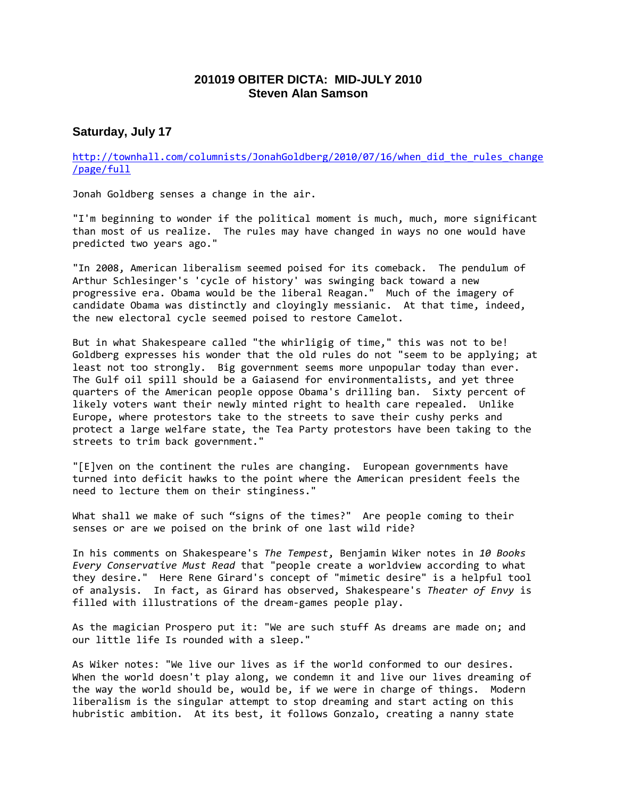## **201019 OBITER DICTA: MID-JULY 2010 Steven Alan Samson**

### **Saturday, July 17**

[http://townhall.com/columnists/JonahGoldberg/2010/07/16/when\\_did\\_the\\_rules\\_change](http://townhall.com/columnists/JonahGoldberg/2010/07/16/when_did_the_rules_change/page/full) [/page/full](http://townhall.com/columnists/JonahGoldberg/2010/07/16/when_did_the_rules_change/page/full)

Jonah Goldberg senses a change in the air.

"I'm beginning to wonder if the political moment is much, much, more significant than most of us realize. The rules may have changed in ways no one would have predicted two years ago."

"In 2008, American liberalism seemed poised for its comeback. The pendulum of Arthur Schlesinger's 'cycle of history' was swinging back toward a new progressive era. Obama would be the liberal Reagan." Much of the imagery of candidate Obama was distinctly and cloyingly messianic. At that time, indeed, the new electoral cycle seemed poised to restore Camelot.

But in what Shakespeare called "the whirligig of time," this was not to be! Goldberg expresses his wonder that the old rules do not "seem to be applying; at least not too strongly. Big government seems more unpopular today than ever. The Gulf oil spill should be a Gaiasend for environmentalists, and yet three quarters of the American people oppose Obama's drilling ban. Sixty percent of likely voters want their newly minted right to health care repealed. Unlike Europe, where protestors take to the streets to save their cushy perks and protect a large welfare state, the Tea Party protestors have been taking to the streets to trim back government."

"[E]ven on the continent the rules are changing. European governments have turned into deficit hawks to the point where the American president feels the need to lecture them on their stinginess."

What shall we make of such "signs of the times?" Are people coming to their senses or are we poised on the brink of one last wild ride?

In his comments on Shakespeare's *The Tempest*, Benjamin Wiker notes in *10 Books Every Conservative Must Read* that "people create a worldview according to what they desire." Here Rene Girard's concept of "mimetic desire" is a helpful tool of analysis. In fact, as Girard has observed, Shakespeare's *Theater of Envy* is filled with illustrations of the dream-games people play.

As the magician Prospero put it: "We are such stuff As dreams are made on; and our little life Is rounded with a sleep."

As Wiker notes: "We live our lives as if the world conformed to our desires. When the world doesn't play along, we condemn it and live our lives dreaming of the way the world should be, would be, if we were in charge of things. Modern liberalism is the singular attempt to stop dreaming and start acting on this hubristic ambition. At its best, it follows Gonzalo, creating a nanny state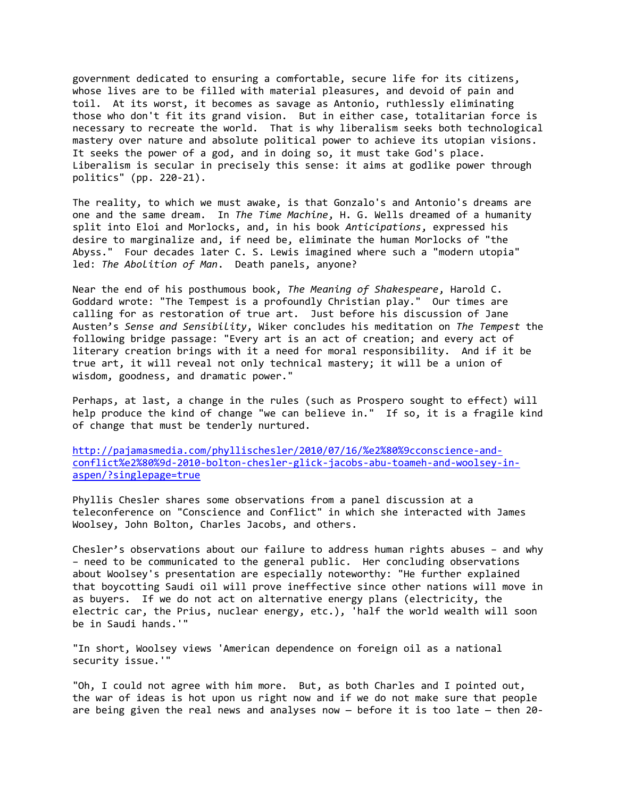government dedicated to ensuring a comfortable, secure life for its citizens, whose lives are to be filled with material pleasures, and devoid of pain and toil. At its worst, it becomes as savage as Antonio, ruthlessly eliminating those who don't fit its grand vision. But in either case, totalitarian force is necessary to recreate the world. That is why liberalism seeks both technological mastery over nature and absolute political power to achieve its utopian visions. It seeks the power of a god, and in doing so, it must take God's place. Liberalism is secular in precisely this sense: it aims at godlike power through politics" (pp. 220-21).

The reality, to which we must awake, is that Gonzalo's and Antonio's dreams are one and the same dream. In *The Time Machine*, H. G. Wells dreamed of a humanity split into Eloi and Morlocks, and, in his book *Anticipations*, expressed his desire to marginalize and, if need be, eliminate the human Morlocks of "the Abyss." Four decades later C. S. Lewis imagined where such a "modern utopia" led: *The Abolition of Man*. Death panels, anyone?

Near the end of his posthumous book, *The Meaning of Shakespeare*, Harold C. Goddard wrote: "The Tempest is a profoundly Christian play." Our times are calling for as restoration of true art. Just before his discussion of Jane Austen's *Sense and Sensibility*, Wiker concludes his meditation on *The Tempest* the following bridge passage: "Every art is an act of creation; and every act of literary creation brings with it a need for moral responsibility. And if it be true art, it will reveal not only technical mastery; it will be a union of wisdom, goodness, and dramatic power."

Perhaps, at last, a change in the rules (such as Prospero sought to effect) will help produce the kind of change "we can believe in." If so, it is a fragile kind of change that must be tenderly nurtured.

[http://pajamasmedia.com/phyllischesler/2010/07/16/%e2%80%9cconscience-and](http://pajamasmedia.com/phyllischesler/2010/07/16/%e2%80%9cconscience-and-conflict%e2%80%9d-2010-bolton-chesler-glick-jacobs-abu-toameh-and-woolsey-in-aspen/?singlepage=true)[conflict%e2%80%9d-2010-bolton-chesler-glick-jacobs-abu-toameh-and-woolsey-in](http://pajamasmedia.com/phyllischesler/2010/07/16/%e2%80%9cconscience-and-conflict%e2%80%9d-2010-bolton-chesler-glick-jacobs-abu-toameh-and-woolsey-in-aspen/?singlepage=true)[aspen/?singlepage=true](http://pajamasmedia.com/phyllischesler/2010/07/16/%e2%80%9cconscience-and-conflict%e2%80%9d-2010-bolton-chesler-glick-jacobs-abu-toameh-and-woolsey-in-aspen/?singlepage=true)

Phyllis Chesler shares some observations from a panel discussion at a teleconference on "Conscience and Conflict" in which she interacted with James Woolsey, John Bolton, Charles Jacobs, and others.

Chesler's observations about our failure to address human rights abuses – and why – need to be communicated to the general public. Her concluding observations about Woolsey's presentation are especially noteworthy: "He further explained that boycotting Saudi oil will prove ineffective since other nations will move in as buyers. If we do not act on alternative energy plans (electricity, the electric car, the Prius, nuclear energy, etc.), 'half the world wealth will soon be in Saudi hands.'"

"In short, Woolsey views 'American dependence on foreign oil as a national security issue.'"

"Oh, I could not agree with him more. But, as both Charles and I pointed out, the war of ideas is hot upon us right now and if we do not make sure that people are being given the real news and analyses now — before it is too late — then 20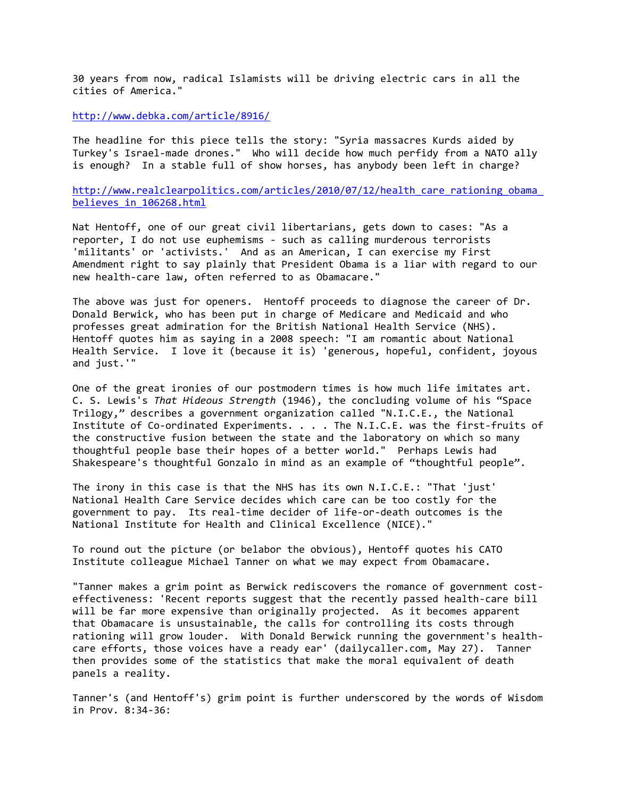30 years from now, radical Islamists will be driving electric cars in all the cities of America."

<http://www.debka.com/article/8916/>

The headline for this piece tells the story: "Syria massacres Kurds aided by Turkey's Israel-made drones." Who will decide how much perfidy from a NATO ally is enough? In a stable full of show horses, has anybody been left in charge?

http://www.realclearpolitics.com/articles/2010/07/12/health\_care\_rationing\_obama [believes\\_in\\_106268.html](http://www.realclearpolitics.com/articles/2010/07/12/health_care_rationing_obama_believes_in_106268.html)

Nat Hentoff, one of our great civil libertarians, gets down to cases: "As a reporter, I do not use euphemisms - such as calling murderous terrorists 'militants' or 'activists.' And as an American, I can exercise my First Amendment right to say plainly that President Obama is a liar with regard to our new health-care law, often referred to as Obamacare."

The above was just for openers. Hentoff proceeds to diagnose the career of Dr. Donald Berwick, who has been put in charge of Medicare and Medicaid and who professes great admiration for the British National Health Service (NHS). Hentoff quotes him as saying in a 2008 speech: "I am romantic about National Health Service. I love it (because it is) 'generous, hopeful, confident, joyous and just.'"

One of the great ironies of our postmodern times is how much life imitates art. C. S. Lewis's *That Hideous Strength* (1946), the concluding volume of his "Space Trilogy," describes a government organization called "N.I.C.E., the National Institute of Co-ordinated Experiments. . . . The N.I.C.E. was the first-fruits of the constructive fusion between the state and the laboratory on which so many thoughtful people base their hopes of a better world." Perhaps Lewis had Shakespeare's thoughtful Gonzalo in mind as an example of "thoughtful people".

The irony in this case is that the NHS has its own N.I.C.E.: "That 'just' National Health Care Service decides which care can be too costly for the government to pay. Its real-time decider of life-or-death outcomes is the National Institute for Health and Clinical Excellence (NICE)."

To round out the picture (or belabor the obvious), Hentoff quotes his CATO Institute colleague Michael Tanner on what we may expect from Obamacare.

"Tanner makes a grim point as Berwick rediscovers the romance of government costeffectiveness: 'Recent reports suggest that the recently passed health-care bill will be far more expensive than originally projected. As it becomes apparent that Obamacare is unsustainable, the calls for controlling its costs through rationing will grow louder. With Donald Berwick running the government's healthcare efforts, those voices have a ready ear' (dailycaller.com, May 27). Tanner then provides some of the statistics that make the moral equivalent of death panels a reality.

Tanner's (and Hentoff's) grim point is further underscored by the words of Wisdom in Prov. 8:34-36: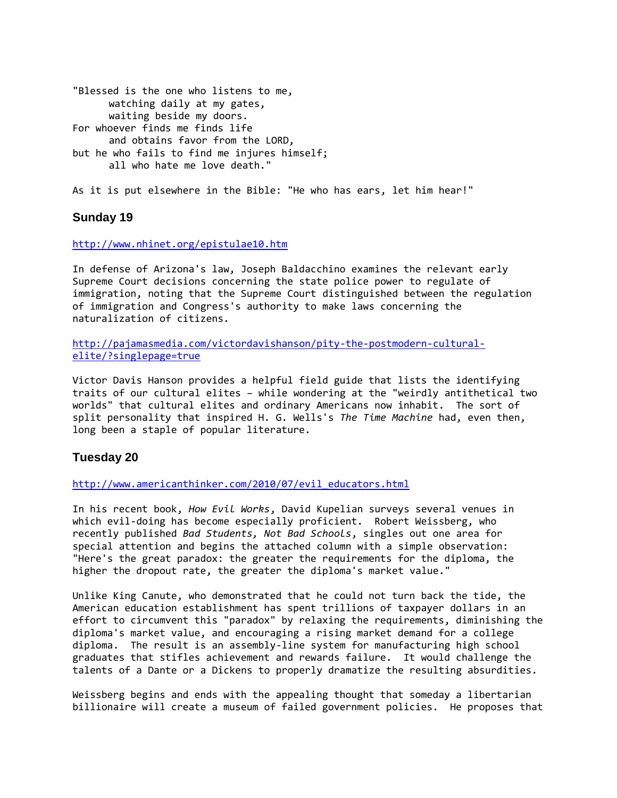"Blessed is the one who listens to me, watching daily at my gates, waiting beside my doors. For whoever finds me finds life and obtains favor from the LORD, but he who fails to find me injures himself; all who hate me love death."

As it is put elsewhere in the Bible: "He who has ears, let him hear!"

## **Sunday 19**

#### <http://www.nhinet.org/epistulae10.htm>

In defense of Arizona's law, Joseph Baldacchino examines the relevant early Supreme Court decisions concerning the state police power to regulate of immigration, noting that the Supreme Court distinguished between the regulation of immigration and Congress's authority to make laws concerning the naturalization of citizens.

[http://pajamasmedia.com/victordavishanson/pity-the-postmodern-cultural](http://pajamasmedia.com/victordavishanson/pity-the-postmodern-cultural-elite/?singlepage=true)[elite/?singlepage=true](http://pajamasmedia.com/victordavishanson/pity-the-postmodern-cultural-elite/?singlepage=true)

Victor Davis Hanson provides a helpful field guide that lists the identifying traits of our cultural elites – while wondering at the "weirdly antithetical two worlds" that cultural elites and ordinary Americans now inhabit. The sort of split personality that inspired H. G. Wells's *The Time Machine* had, even then, long been a staple of popular literature.

### **Tuesday 20**

[http://www.americanthinker.com/2010/07/evil\\_educators.html](http://www.americanthinker.com/2010/07/evil_educators.html)

In his recent book, *How Evil Works*, David Kupelian surveys several venues in which evil-doing has become especially proficient. Robert Weissberg, who recently published *Bad Students, Not Bad Schools*, singles out one area for special attention and begins the attached column with a simple observation: "Here's the great paradox: the greater the requirements for the diploma, the higher the dropout rate, the greater the diploma's market value."

Unlike King Canute, who demonstrated that he could not turn back the tide, the American education establishment has spent trillions of taxpayer dollars in an effort to circumvent this "paradox" by relaxing the requirements, diminishing the diploma's market value, and encouraging a rising market demand for a college diploma. The result is an assembly-line system for manufacturing high school graduates that stifles achievement and rewards failure. It would challenge the talents of a Dante or a Dickens to properly dramatize the resulting absurdities.

Weissberg begins and ends with the appealing thought that someday a libertarian billionaire will create a museum of failed government policies. He proposes that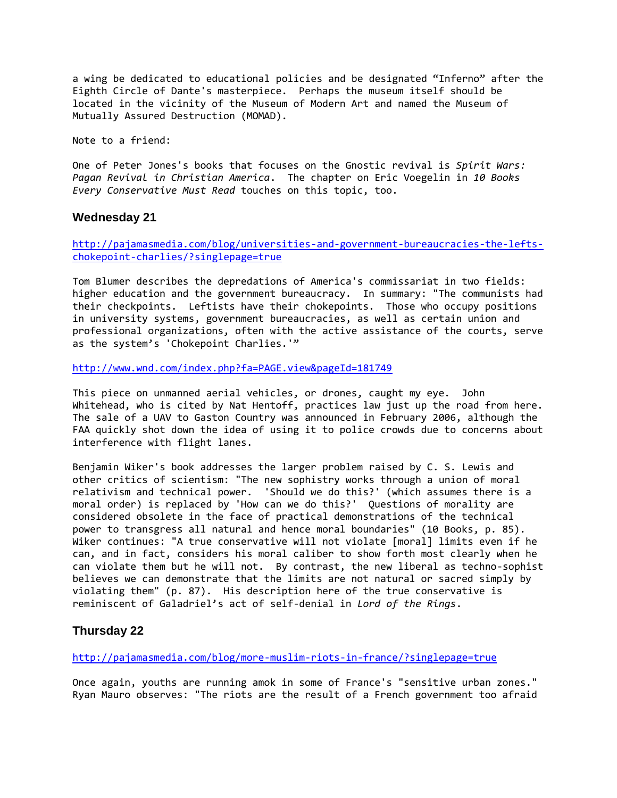a wing be dedicated to educational policies and be designated "Inferno" after the Eighth Circle of Dante's masterpiece. Perhaps the museum itself should be located in the vicinity of the Museum of Modern Art and named the Museum of Mutually Assured Destruction (MOMAD).

Note to a friend:

One of Peter Jones's books that focuses on the Gnostic revival is *Spirit Wars: Pagan Revival in Christian America*. The chapter on Eric Voegelin in *10 Books Every Conservative Must Read* touches on this topic, too.

#### **Wednesday 21**

[http://pajamasmedia.com/blog/universities-and-government-bureaucracies-the-lefts](http://pajamasmedia.com/blog/universities-and-government-bureaucracies-the-lefts-chokepoint-charlies/?singlepage=true)[chokepoint-charlies/?singlepage=true](http://pajamasmedia.com/blog/universities-and-government-bureaucracies-the-lefts-chokepoint-charlies/?singlepage=true)

Tom Blumer describes the depredations of America's commissariat in two fields: higher education and the government bureaucracy. In summary: "The communists had their checkpoints. Leftists have their chokepoints. Those who occupy positions in university systems, government bureaucracies, as well as certain union and professional organizations, often with the active assistance of the courts, serve as the system's 'Chokepoint Charlies.'"

<http://www.wnd.com/index.php?fa=PAGE.view&pageId=181749>

This piece on unmanned aerial vehicles, or drones, caught my eye. John Whitehead, who is cited by Nat Hentoff, practices law just up the road from here. The sale of a UAV to Gaston Country was announced in February 2006, although the FAA quickly shot down the idea of using it to police crowds due to concerns about interference with flight lanes.

Benjamin Wiker's book addresses the larger problem raised by C. S. Lewis and other critics of scientism: "The new sophistry works through a union of moral relativism and technical power. 'Should we do this?' (which assumes there is a moral order) is replaced by 'How can we do this?' Questions of morality are considered obsolete in the face of practical demonstrations of the technical power to transgress all natural and hence moral boundaries" (10 Books, p. 85). Wiker continues: "A true conservative will not violate [moral] limits even if he can, and in fact, considers his moral caliber to show forth most clearly when he can violate them but he will not. By contrast, the new liberal as techno-sophist believes we can demonstrate that the limits are not natural or sacred simply by violating them" (p. 87). His description here of the true conservative is reminiscent of Galadriel's act of self-denial in *Lord of the Rings*.

### **Thursday 22**

<http://pajamasmedia.com/blog/more-muslim-riots-in-france/?singlepage=true>

Once again, youths are running amok in some of France's "sensitive urban zones." Ryan Mauro observes: "The riots are the result of a French government too afraid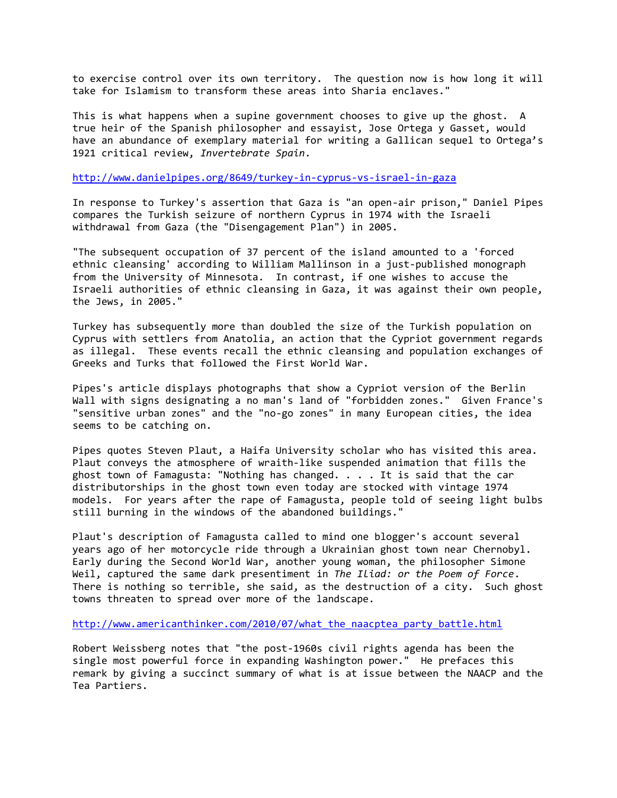to exercise control over its own territory. The question now is how long it will take for Islamism to transform these areas into Sharia enclaves."

This is what happens when a supine government chooses to give up the ghost. A true heir of the Spanish philosopher and essayist, Jose Ortega y Gasset, would have an abundance of exemplary material for writing a Gallican sequel to Ortega's 1921 critical review, *Invertebrate Spain*.

<http://www.danielpipes.org/8649/turkey-in-cyprus-vs-israel-in-gaza>

In response to Turkey's assertion that Gaza is "an open-air prison," Daniel Pipes compares the Turkish seizure of northern Cyprus in 1974 with the Israeli withdrawal from Gaza (the "Disengagement Plan") in 2005.

"The subsequent occupation of 37 percent of the island amounted to a 'forced ethnic cleansing' according to William Mallinson in a just-published monograph from the University of Minnesota. In contrast, if one wishes to accuse the Israeli authorities of ethnic cleansing in Gaza, it was against their own people, the Jews, in 2005."

Turkey has subsequently more than doubled the size of the Turkish population on Cyprus with settlers from Anatolia, an action that the Cypriot government regards as illegal. These events recall the ethnic cleansing and population exchanges of Greeks and Turks that followed the First World War.

Pipes's article displays photographs that show a Cypriot version of the Berlin Wall with signs designating a no man's land of "forbidden zones." Given France's "sensitive urban zones" and the "no-go zones" in many European cities, the idea seems to be catching on.

Pipes quotes Steven Plaut, a Haifa University scholar who has visited this area. Plaut conveys the atmosphere of wraith-like suspended animation that fills the ghost town of Famagusta: "Nothing has changed. . . . It is said that the car distributorships in the ghost town even today are stocked with vintage 1974 models. For years after the rape of Famagusta, people told of seeing light bulbs still burning in the windows of the abandoned buildings."

Plaut's description of Famagusta called to mind one blogger's account several years ago of her motorcycle ride through a Ukrainian ghost town near Chernobyl. Early during the Second World War, another young woman, the philosopher Simone Weil, captured the same dark presentiment in *The Iliad: or the Poem of Force*. There is nothing so terrible, she said, as the destruction of a city. Such ghost towns threaten to spread over more of the landscape.

http://www.americanthinker.com/2010/07/what the naacptea party battle.html

Robert Weissberg notes that "the post-1960s civil rights agenda has been the single most powerful force in expanding Washington power." He prefaces this remark by giving a succinct summary of what is at issue between the NAACP and the Tea Partiers.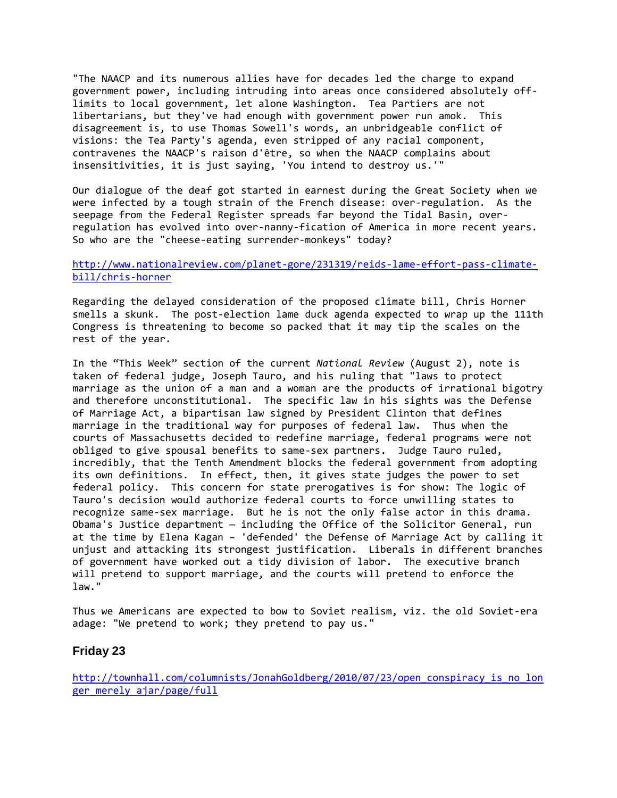"The NAACP and its numerous allies have for decades led the charge to expand government power, including intruding into areas once considered absolutely offlimits to local government, let alone Washington. Tea Partiers are not libertarians, but they've had enough with government power run amok. This disagreement is, to use Thomas Sowell's words, an unbridgeable conflict of visions: the Tea Party's agenda, even stripped of any racial component, contravenes the NAACP's raison d'être, so when the NAACP complains about insensitivities, it is just saying, 'You intend to destroy us.'"

Our dialogue of the deaf got started in earnest during the Great Society when we were infected by a tough strain of the French disease: over-regulation. As the seepage from the Federal Register spreads far beyond the Tidal Basin, overregulation has evolved into over-nanny-fication of America in more recent years. So who are the "cheese-eating surrender-monkeys" today?

#### [http://www.nationalreview.com/planet-gore/231319/reids-lame-effort-pass-climate](http://www.nationalreview.com/planet-gore/231319/reids-lame-effort-pass-climate-bill/chris-horner)[bill/chris-horner](http://www.nationalreview.com/planet-gore/231319/reids-lame-effort-pass-climate-bill/chris-horner)

Regarding the delayed consideration of the proposed climate bill, Chris Horner smells a skunk. The post-election lame duck agenda expected to wrap up the 111th Congress is threatening to become so packed that it may tip the scales on the rest of the year.

In the "This Week" section of the current *National Review* (August 2), note is taken of federal judge, Joseph Tauro, and his ruling that "laws to protect marriage as the union of a man and a woman are the products of irrational bigotry and therefore unconstitutional. The specific law in his sights was the Defense of Marriage Act, a bipartisan law signed by President Clinton that defines marriage in the traditional way for purposes of federal law. Thus when the courts of Massachusetts decided to redefine marriage, federal programs were not obliged to give spousal benefits to same-sex partners. Judge Tauro ruled, incredibly, that the Tenth Amendment blocks the federal government from adopting its own definitions. In effect, then, it gives state judges the power to set federal policy. This concern for state prerogatives is for show: The logic of Tauro's decision would authorize federal courts to force unwilling states to recognize same-sex marriage. But he is not the only false actor in this drama. Obama's Justice department — including the Office of the Solicitor General, run at the time by Elena Kagan – 'defended' the Defense of Marriage Act by calling it unjust and attacking its strongest justification. Liberals in different branches of government have worked out a tidy division of labor. The executive branch will pretend to support marriage, and the courts will pretend to enforce the law."

Thus we Americans are expected to bow to Soviet realism, viz. the old Soviet-era adage: "We pretend to work; they pretend to pay us."

### **Friday 23**

[http://townhall.com/columnists/JonahGoldberg/2010/07/23/open\\_conspiracy\\_is\\_no\\_lon](http://townhall.com/columnists/JonahGoldberg/2010/07/23/open_conspiracy_is_no_longer_merely_ajar/page/full) ger merely ajar/page/full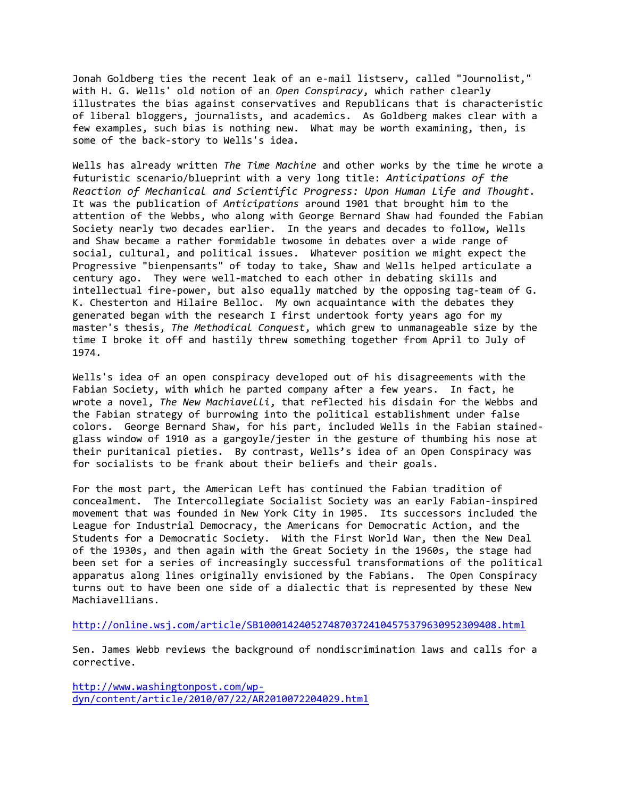Jonah Goldberg ties the recent leak of an e-mail listserv, called "Journolist," with H. G. Wells' old notion of an *Open Conspiracy*, which rather clearly illustrates the bias against conservatives and Republicans that is characteristic of liberal bloggers, journalists, and academics. As Goldberg makes clear with a few examples, such bias is nothing new. What may be worth examining, then, is some of the back-story to Wells's idea.

Wells has already written *The Time Machine* and other works by the time he wrote a futuristic scenario/blueprint with a very long title: *Anticipations of the Reaction of Mechanical and Scientific Progress: Upon Human Life and Thought.*  It was the publication of *Anticipations* around 1901 that brought him to the attention of the Webbs, who along with George Bernard Shaw had founded the Fabian Society nearly two decades earlier. In the years and decades to follow, Wells and Shaw became a rather formidable twosome in debates over a wide range of social, cultural, and political issues. Whatever position we might expect the Progressive "bienpensants" of today to take, Shaw and Wells helped articulate a century ago. They were well-matched to each other in debating skills and intellectual fire-power, but also equally matched by the opposing tag-team of G. K. Chesterton and Hilaire Belloc. My own acquaintance with the debates they generated began with the research I first undertook forty years ago for my master's thesis, *The Methodical Conquest*, which grew to unmanageable size by the time I broke it off and hastily threw something together from April to July of 1974.

Wells's idea of an open conspiracy developed out of his disagreements with the Fabian Society, with which he parted company after a few years. In fact, he wrote a novel, *The New Machiavelli*, that reflected his disdain for the Webbs and the Fabian strategy of burrowing into the political establishment under false colors. George Bernard Shaw, for his part, included Wells in the Fabian stainedglass window of 1910 as a gargoyle/jester in the gesture of thumbing his nose at their puritanical pieties. By contrast, Wells's idea of an Open Conspiracy was for socialists to be frank about their beliefs and their goals.

For the most part, the American Left has continued the Fabian tradition of concealment. The Intercollegiate Socialist Society was an early Fabian-inspired movement that was founded in New York City in 1905. Its successors included the League for Industrial Democracy, the Americans for Democratic Action, and the Students for a Democratic Society. With the First World War, then the New Deal of the 1930s, and then again with the Great Society in the 1960s, the stage had been set for a series of increasingly successful transformations of the political apparatus along lines originally envisioned by the Fabians. The Open Conspiracy turns out to have been one side of a dialectic that is represented by these New Machiavellians.

<http://online.wsj.com/article/SB10001424052748703724104575379630952309408.html>

Sen. James Webb reviews the background of nondiscrimination laws and calls for a corrective.

[http://www.washingtonpost.com/wp](http://www.washingtonpost.com/wp-dyn/content/article/2010/07/22/AR2010072204029.html)[dyn/content/article/2010/07/22/AR2010072204029.html](http://www.washingtonpost.com/wp-dyn/content/article/2010/07/22/AR2010072204029.html)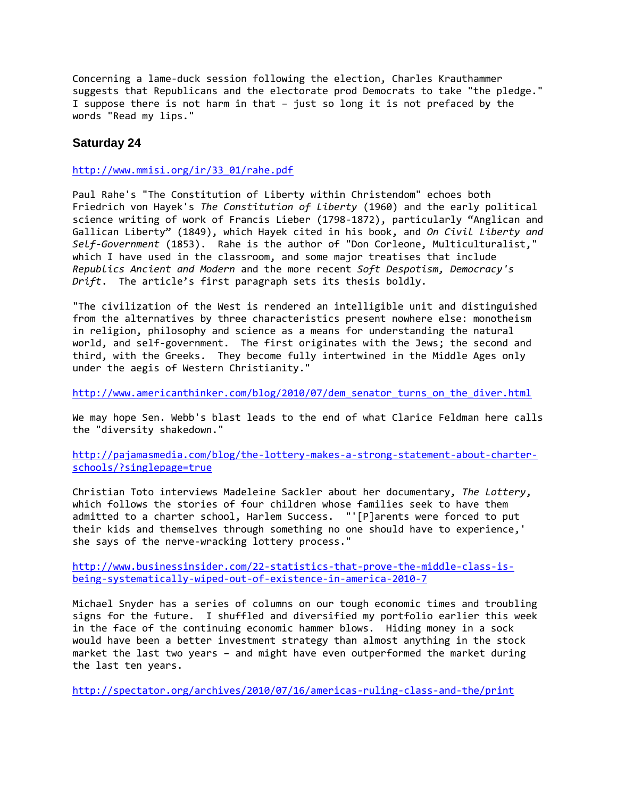Concerning a lame-duck session following the election, Charles Krauthammer suggests that Republicans and the electorate prod Democrats to take "the pledge." I suppose there is not harm in that – just so long it is not prefaced by the words "Read my lips."

## **Saturday 24**

[http://www.mmisi.org/ir/33\\_01/rahe.pdf](http://www.mmisi.org/ir/33_01/rahe.pdf)

Paul Rahe's "The Constitution of Liberty within Christendom" echoes both Friedrich von Hayek's *The Constitution of Liberty* (1960) and the early political science writing of work of Francis Lieber (1798-1872), particularly "Anglican and Gallican Liberty" (1849), which Hayek cited in his book, and *On Civil Liberty and Self-Government* (1853). Rahe is the author of "Don Corleone, Multiculturalist," which I have used in the classroom, and some major treatises that include *Republics Ancient and Modern* and the more recent *Soft Despotism, Democracy's Drift*. The article's first paragraph sets its thesis boldly.

"The civilization of the West is rendered an intelligible unit and distinguished from the alternatives by three characteristics present nowhere else: monotheism in religion, philosophy and science as a means for understanding the natural world, and self-government. The first originates with the Jews; the second and third, with the Greeks. They become fully intertwined in the Middle Ages only under the aegis of Western Christianity."

[http://www.americanthinker.com/blog/2010/07/dem\\_senator\\_turns\\_on\\_the\\_diver.html](http://www.americanthinker.com/blog/2010/07/dem_senator_turns_on_the_diver.html)

We may hope Sen. Webb's blast leads to the end of what Clarice Feldman here calls the "diversity shakedown."

[http://pajamasmedia.com/blog/the-lottery-makes-a-strong-statement-about-charter](http://pajamasmedia.com/blog/the-lottery-makes-a-strong-statement-about-charter-schools/?singlepage=true)[schools/?singlepage=true](http://pajamasmedia.com/blog/the-lottery-makes-a-strong-statement-about-charter-schools/?singlepage=true)

Christian Toto interviews Madeleine Sackler about her documentary, *The Lottery*, which follows the stories of four children whose families seek to have them admitted to a charter school, Harlem Success. "'[P]arents were forced to put their kids and themselves through something no one should have to experience,' she says of the nerve-wracking lottery process."

[http://www.businessinsider.com/22-statistics-that-prove-the-middle-class-is](http://www.businessinsider.com/22-statistics-that-prove-the-middle-class-is-being-systematically-wiped-out-of-existence-in-america-2010-7)[being-systematically-wiped-out-of-existence-in-america-2010-7](http://www.businessinsider.com/22-statistics-that-prove-the-middle-class-is-being-systematically-wiped-out-of-existence-in-america-2010-7)

Michael Snyder has a series of columns on our tough economic times and troubling signs for the future. I shuffled and diversified my portfolio earlier this week in the face of the continuing economic hammer blows. Hiding money in a sock would have been a better investment strategy than almost anything in the stock market the last two years – and might have even outperformed the market during the last ten years.

<http://spectator.org/archives/2010/07/16/americas-ruling-class-and-the/print>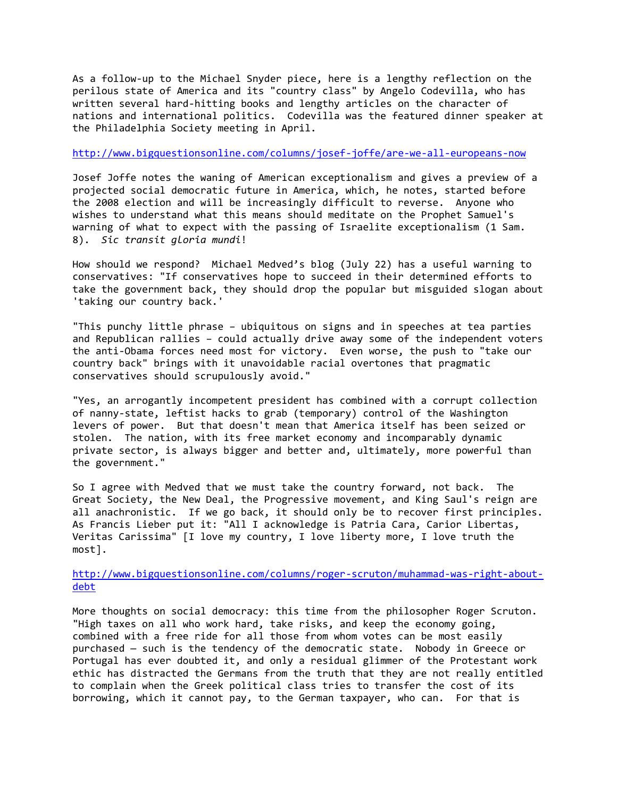As a follow-up to the Michael Snyder piece, here is a lengthy reflection on the perilous state of America and its "country class" by Angelo Codevilla, who has written several hard-hitting books and lengthy articles on the character of nations and international politics. Codevilla was the featured dinner speaker at the Philadelphia Society meeting in April.

#### <http://www.bigquestionsonline.com/columns/josef-joffe/are-we-all-europeans-now>

Josef Joffe notes the waning of American exceptionalism and gives a preview of a projected social democratic future in America, which, he notes, started before the 2008 election and will be increasingly difficult to reverse. Anyone who wishes to understand what this means should meditate on the Prophet Samuel's warning of what to expect with the passing of Israelite exceptionalism (1 Sam. 8). *Sic transit gloria mundi*!

How should we respond? Michael Medved's blog (July 22) has a useful warning to conservatives: "If conservatives hope to succeed in their determined efforts to take the government back, they should drop the popular but misguided slogan about 'taking our country back.'

"This punchy little phrase – ubiquitous on signs and in speeches at tea parties and Republican rallies – could actually drive away some of the independent voters the anti-Obama forces need most for victory. Even worse, the push to "take our country back" brings with it unavoidable racial overtones that pragmatic conservatives should scrupulously avoid."

"Yes, an arrogantly incompetent president has combined with a corrupt collection of nanny-state, leftist hacks to grab (temporary) control of the Washington levers of power. But that doesn't mean that America itself has been seized or stolen. The nation, with its free market economy and incomparably dynamic private sector, is always bigger and better and, ultimately, more powerful than the government."

So I agree with Medved that we must take the country forward, not back. The Great Society, the New Deal, the Progressive movement, and King Saul's reign are all anachronistic. If we go back, it should only be to recover first principles. As Francis Lieber put it: "All I acknowledge is Patria Cara, Carior Libertas, Veritas Carissima" [I love my country, I love liberty more, I love truth the most].

[http://www.bigquestionsonline.com/columns/roger-scruton/muhammad-was-right-about](http://www.bigquestionsonline.com/columns/roger-scruton/muhammad-was-right-about-debt)[debt](http://www.bigquestionsonline.com/columns/roger-scruton/muhammad-was-right-about-debt)

More thoughts on social democracy: this time from the philosopher Roger Scruton. "High taxes on all who work hard, take risks, and keep the economy going, combined with a free ride for all those from whom votes can be most easily purchased — such is the tendency of the democratic state. Nobody in Greece or Portugal has ever doubted it, and only a residual glimmer of the Protestant work ethic has distracted the Germans from the truth that they are not really entitled to complain when the Greek political class tries to transfer the cost of its borrowing, which it cannot pay, to the German taxpayer, who can. For that is